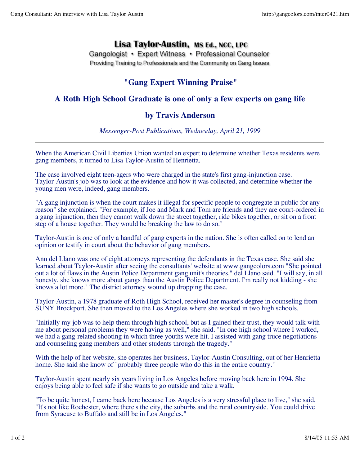## Lisa Taylor-Austin, MS Ed., NCC, LPC

Gangologist • Expert Witness • Professional Counselor Providing Training to Professionals and the Community on Gang Issues

## **"Gang Expert Winning Praise"**

## **A Roth High School Graduate is one of only a few experts on gang life**

## **by Travis Anderson**

*Messenger-Post Publications, Wednesday, April 21, 1999*

When the American Civil Liberties Union wanted an expert to determine whether Texas residents were gang members, it turned to Lisa Taylor-Austin of Henrietta.

The case involved eight teen-agers who were charged in the state's first gang-injunction case. Taylor-Austin's job was to look at the evidence and how it was collected, and determine whether the young men were, indeed, gang members.

"A gang injunction is when the court makes it illegal for specific people to congregate in public for any reason" she explained. "For example, if Joe and Mark and Tom are friends and they are court-ordered in a gang injunction, then they cannot walk down the street together, ride bikes together, or sit on a front step of a house together. They would be breaking the law to do so."

Taylor-Austin is one of only a handful of gang experts in the nation. She is often called on to lend an opinion or testify in court about the behavior of gang members.

Ann del Llano was one of eight attorneys representing the defendants in the Texas case. She said she learned about Taylor-Austin after seeing the consultants' website at www.gangcolors.com "She pointed out a lot of flaws in the Austin Police Department gang unit's theories," del Llano said. "I will say, in all honesty, she knows more about gangs than the Austin Police Department. I'm really not kidding - she knows a lot more." The district attorney wound up dropping the case.

Taylor-Austin, a 1978 graduate of Roth High School, received her master's degree in counseling from SUNY Brockport. She then moved to the Los Angeles where she worked in two high schools.

"Initially my job was to help them through high school, but as I gained their trust, they would talk with me about personal problems they were having as well," she said. "In one high school where I worked, we had a gang-related shooting in which three youths were hit. I assisted with gang truce negotiations and counseling gang members and other students through the tragedy."

With the help of her website, she operates her business, Taylor-Austin Consulting, out of her Henrietta home. She said she know of "probably three people who do this in the entire country."

Taylor-Austin spent nearly six years living in Los Angeles before moving back here in 1994. She enjoys being able to feel safe if she wants to go outside and take a walk.

"To be quite honest, I came back here because Los Angeles is a very stressful place to live," she said. "It's not like Rochester, where there's the city, the suburbs and the rural countryside. You could drive from Syracuse to Buffalo and still be in Los Angeles."